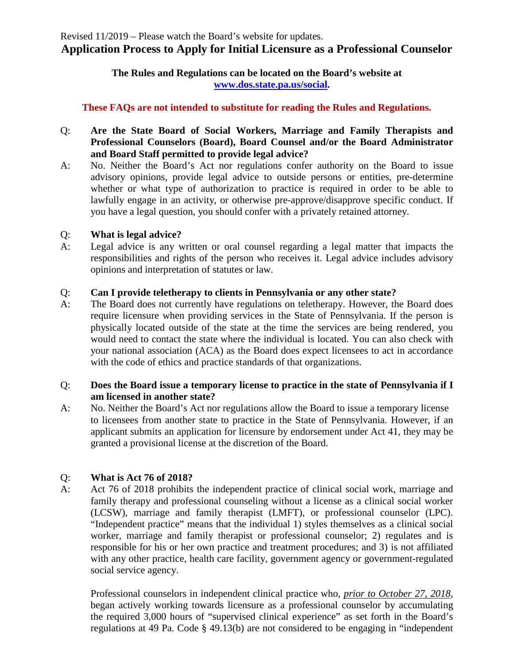### **The Rules and Regulations can be located on the Board's website at [www.dos.state.pa.us/social.](http://www.dos.state.pa.us/social)**

# **These FAQs are not intended to substitute for reading the Rules and Regulations.**

- Q: **Are the State Board of Social Workers, Marriage and Family Therapists and Professional Counselors (Board), Board Counsel and/or the Board Administrator and Board Staff permitted to provide legal advice?**
- A: No. Neither the Board's Act nor regulations confer authority on the Board to issue advisory opinions, provide legal advice to outside persons or entities, pre-determine whether or what type of authorization to practice is required in order to be able to lawfully engage in an activity, or otherwise pre-approve/disapprove specific conduct. If you have a legal question, you should confer with a privately retained attorney.

### Q: **What is legal advice?**

A: Legal advice is any written or oral counsel regarding a legal matter that impacts the responsibilities and rights of the person who receives it. Legal advice includes advisory opinions and interpretation of statutes or law.

## Q: **Can I provide teletherapy to clients in Pennsylvania or any other state?**

A: The Board does not currently have regulations on teletherapy. However, the Board does require licensure when providing services in the State of Pennsylvania. If the person is physically located outside of the state at the time the services are being rendered, you would need to contact the state where the individual is located. You can also check with your national association (ACA) as the Board does expect licensees to act in accordance with the code of ethics and practice standards of that organizations.

#### Q: **Does the Board issue a temporary license to practice in the state of Pennsylvania if I am licensed in another state?**

A: No. Neither the Board's Act nor regulations allow the Board to issue a temporary license to licensees from another state to practice in the State of Pennsylvania. However, if an applicant submits an application for licensure by endorsement under Act 41, they may be granted a provisional license at the discretion of the Board.

# Q: **What is Act 76 of 2018?**

A: Act 76 of 2018 prohibits the independent practice of clinical social work, marriage and family therapy and professional counseling without a license as a clinical social worker (LCSW), marriage and family therapist (LMFT), or professional counselor (LPC). "Independent practice" means that the individual 1) styles themselves as a clinical social worker, marriage and family therapist or professional counselor; 2) regulates and is responsible for his or her own practice and treatment procedures; and 3) is not affiliated with any other practice, health care facility, government agency or government-regulated social service agency.

Professional counselors in independent clinical practice who, *prior to October 27, 2018*, began actively working towards licensure as a professional counselor by accumulating the required 3,000 hours of "supervised clinical experience" as set forth in the Board's regulations at 49 Pa. Code § 49.13(b) are not considered to be engaging in "independent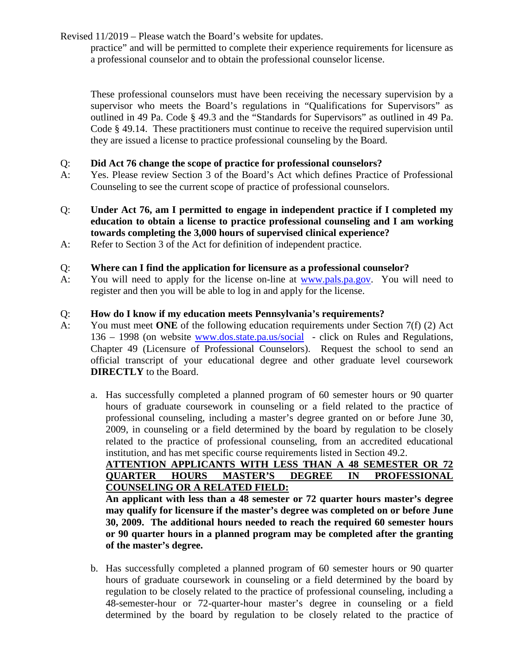practice" and will be permitted to complete their experience requirements for licensure as a professional counselor and to obtain the professional counselor license.

These professional counselors must have been receiving the necessary supervision by a supervisor who meets the Board's regulations in "Qualifications for Supervisors" as outlined in 49 Pa. Code § 49.3 and the "Standards for Supervisors" as outlined in 49 Pa. Code § 49.14. These practitioners must continue to receive the required supervision until they are issued a license to practice professional counseling by the Board.

### Q: **Did Act 76 change the scope of practice for professional counselors?**

- A: Yes. Please review Section 3 of the Board's Act which defines Practice of Professional Counseling to see the current scope of practice of professional counselors.
- Q: **Under Act 76, am I permitted to engage in independent practice if I completed my education to obtain a license to practice professional counseling and I am working towards completing the 3,000 hours of supervised clinical experience?**
- A: Refer to Section 3 of the Act for definition of independent practice.

## Q: **Where can I find the application for licensure as a professional counselor?**

A: You will need to apply for the license on-line at [www.pals.pa.gov.](http://www.pals.pa.gov/) You will need to register and then you will be able to log in and apply for the license.

## Q: **How do I know if my education meets Pennsylvania's requirements?**

- A: You must meet **ONE** of the following education requirements under Section 7(f) (2) Act 136 – 1998 (on website [www.dos.state.pa.us/social](http://www.dos.state.pa.us/social) - click on Rules and Regulations, Chapter 49 (Licensure of Professional Counselors). Request the school to send an official transcript of your educational degree and other graduate level coursework **DIRECTLY** to the Board.
	- a. Has successfully completed a planned program of 60 semester hours or 90 quarter hours of graduate coursework in counseling or a field related to the practice of professional counseling, including a master's degree granted on or before June 30, 2009, in counseling or a field determined by the board by regulation to be closely related to the practice of professional counseling, from an accredited educational institution, and has met specific course requirements listed in Section 49.2.

#### **ATTENTION APPLICANTS WITH LESS THAN A 48 SEMESTER OR 72 QUARTER HOURS MASTER'S DEGREE IN PROFESSIONAL COUNSELING OR A RELATED FIELD:**

**An applicant with less than a 48 semester or 72 quarter hours master's degree may qualify for licensure if the master's degree was completed on or before June 30, 2009. The additional hours needed to reach the required 60 semester hours or 90 quarter hours in a planned program may be completed after the granting of the master's degree.** 

b. Has successfully completed a planned program of 60 semester hours or 90 quarter hours of graduate coursework in counseling or a field determined by the board by regulation to be closely related to the practice of professional counseling, including a 48-semester-hour or 72-quarter-hour master's degree in counseling or a field determined by the board by regulation to be closely related to the practice of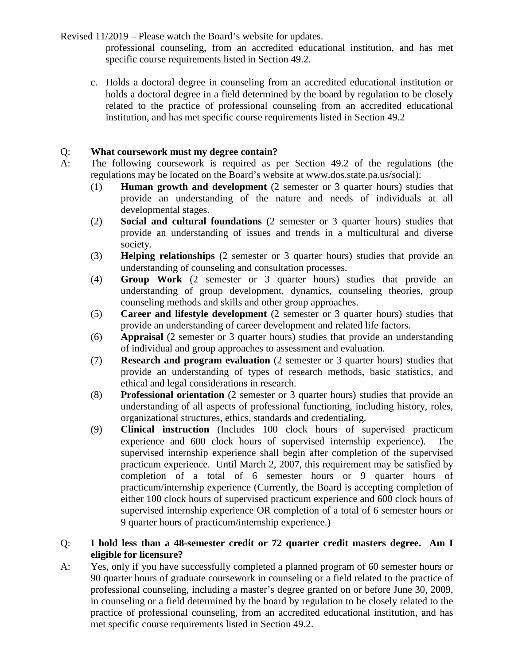professional counseling, from an accredited educational institution, and has met specific course requirements listed in Section 49.2.

c. Holds a doctoral degree in counseling from an accredited educational institution or holds a doctoral degree in a field determined by the board by regulation to be closely related to the practice of professional counseling from an accredited educational institution, and has met specific course requirements listed in Section 49.2

## Q: **What coursework must my degree contain?**

- A: The following coursework is required as per Section 49.2 of the regulations (the regulations may be located on the Board's website at www.dos.state.pa.us/social):
	- (1) **Human growth and development** (2 semester or 3 quarter hours) studies that provide an understanding of the nature and needs of individuals at all developmental stages.
	- (2) **Social and cultural foundations** (2 semester or 3 quarter hours) studies that provide an understanding of issues and trends in a multicultural and diverse society.
	- (3) **Helping relationships** (2 semester or 3 quarter hours) studies that provide an understanding of counseling and consultation processes.
	- (4) **Group Work** (2 semester or 3 quarter hours) studies that provide an understanding of group development, dynamics, counseling theories, group counseling methods and skills and other group approaches.
	- (5) **Career and lifestyle development** (2 semester or 3 quarter hours) studies that provide an understanding of career development and related life factors.
	- (6) **Appraisal** (2 semester or 3 quarter hours) studies that provide an understanding of individual and group approaches to assessment and evaluation.
	- (7) **Research and program evaluation** (2 semester or 3 quarter hours) studies that provide an understanding of types of research methods, basic statistics, and ethical and legal considerations in research.
	- (8) **Professional orientation** (2 semester or 3 quarter hours) studies that provide an understanding of all aspects of professional functioning, including history, roles, organizational structures, ethics, standards and credentialing.
	- (9) **Clinical instruction** (Includes 100 clock hours of supervised practicum experience and 600 clock hours of supervised internship experience). The supervised internship experience shall begin after completion of the supervised practicum experience. Until March 2, 2007, this requirement may be satisfied by completion of a total of 6 semester hours or 9 quarter hours of practicum/internship experience (Currently, the Board is accepting completion of either 100 clock hours of supervised practicum experience and 600 clock hours of supervised internship experience OR completion of a total of 6 semester hours or 9 quarter hours of practicum/internship experience.)

## Q: **I hold less than a 48-semester credit or 72 quarter credit masters degree. Am I eligible for licensure?**

A: Yes, only if you have successfully completed a planned program of 60 semester hours or 90 quarter hours of graduate coursework in counseling or a field related to the practice of professional counseling, including a master's degree granted on or before June 30, 2009, in counseling or a field determined by the board by regulation to be closely related to the practice of professional counseling, from an accredited educational institution, and has met specific course requirements listed in Section 49.2.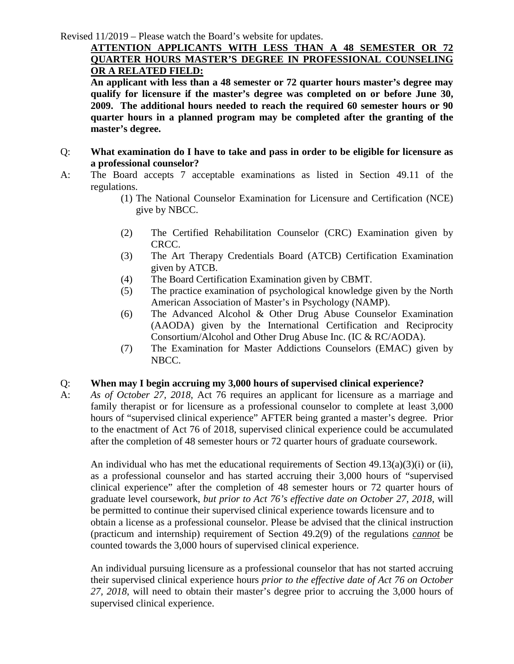### **ATTENTION APPLICANTS WITH LESS THAN A 48 SEMESTER OR 72 QUARTER HOURS MASTER'S DEGREE IN PROFESSIONAL COUNSELING OR A RELATED FIELD:**

**An applicant with less than a 48 semester or 72 quarter hours master's degree may qualify for licensure if the master's degree was completed on or before June 30, 2009. The additional hours needed to reach the required 60 semester hours or 90 quarter hours in a planned program may be completed after the granting of the master's degree.** 

- Q: **What examination do I have to take and pass in order to be eligible for licensure as a professional counselor?**
- A: The Board accepts 7 acceptable examinations as listed in Section 49.11 of the regulations.
	- (1) The National Counselor Examination for Licensure and Certification (NCE) give by NBCC.
	- (2) The Certified Rehabilitation Counselor (CRC) Examination given by CRCC.
	- (3) The Art Therapy Credentials Board (ATCB) Certification Examination given by ATCB.
	- (4) The Board Certification Examination given by CBMT.
	- (5) The practice examination of psychological knowledge given by the North American Association of Master's in Psychology (NAMP).
	- (6) The Advanced Alcohol & Other Drug Abuse Counselor Examination (AAODA) given by the International Certification and Reciprocity Consortium/Alcohol and Other Drug Abuse Inc. (IC & RC/AODA).
	- (7) The Examination for Master Addictions Counselors (EMAC) given by NBCC.

### Q: **When may I begin accruing my 3,000 hours of supervised clinical experience?**

A: *As of October 27, 2018*, Act 76 requires an applicant for licensure as a marriage and family therapist or for licensure as a professional counselor to complete at least 3,000 hours of "supervised clinical experience" AFTER being granted a master's degree. Prior to the enactment of Act 76 of 2018, supervised clinical experience could be accumulated after the completion of 48 semester hours or 72 quarter hours of graduate coursework.

An individual who has met the educational requirements of Section  $49.13(a)(3)(i)$  or (ii), as a professional counselor and has started accruing their 3,000 hours of "supervised clinical experience" after the completion of 48 semester hours or 72 quarter hours of graduate level coursework, *but prior to Act 76's effective date on October 27, 2018*, will be permitted to continue their supervised clinical experience towards licensure and to obtain a license as a professional counselor. Please be advised that the clinical instruction (practicum and internship) requirement of Section 49.2(9) of the regulations *cannot* be counted towards the 3,000 hours of supervised clinical experience.

An individual pursuing licensure as a professional counselor that has not started accruing their supervised clinical experience hours *prior to the effective date of Act 76 on October 27, 2018*, will need to obtain their master's degree prior to accruing the 3,000 hours of supervised clinical experience.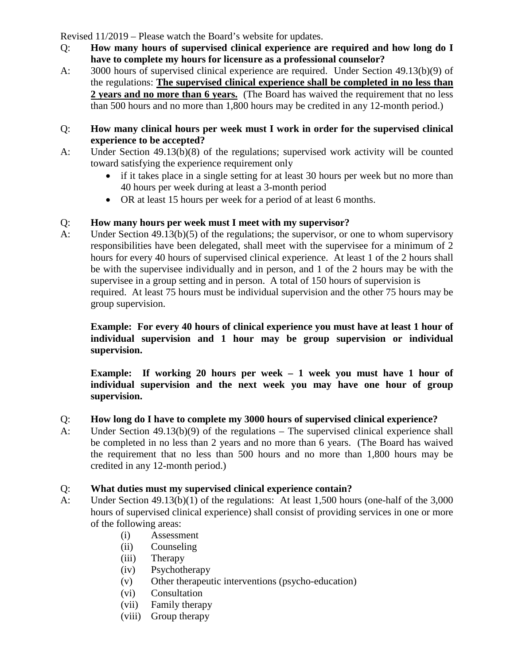- Q: **How many hours of supervised clinical experience are required and how long do I have to complete my hours for licensure as a professional counselor?**
- A: 3000 hours of supervised clinical experience are required. Under Section 49.13(b)(9) of the regulations: **The supervised clinical experience shall be completed in no less than 2 years and no more than 6 years.** (The Board has waived the requirement that no less than 500 hours and no more than 1,800 hours may be credited in any 12-month period.)

#### Q: **How many clinical hours per week must I work in order for the supervised clinical experience to be accepted?**

- A: Under Section 49.13(b)(8) of the regulations; supervised work activity will be counted toward satisfying the experience requirement only
	- if it takes place in a single setting for at least 30 hours per week but no more than 40 hours per week during at least a 3-month period
	- OR at least 15 hours per week for a period of at least 6 months.

## Q: **How many hours per week must I meet with my supervisor?**

A: Under Section 49.13(b)(5) of the regulations; the supervisor, or one to whom supervisory responsibilities have been delegated, shall meet with the supervisee for a minimum of 2 hours for every 40 hours of supervised clinical experience. At least 1 of the 2 hours shall be with the supervisee individually and in person, and 1 of the 2 hours may be with the supervisee in a group setting and in person. A total of 150 hours of supervision is required. At least 75 hours must be individual supervision and the other 75 hours may be group supervision.

# **Example: For every 40 hours of clinical experience you must have at least 1 hour of individual supervision and 1 hour may be group supervision or individual supervision.**

**Example: If working 20 hours per week – 1 week you must have 1 hour of individual supervision and the next week you may have one hour of group supervision.**

### Q: **How long do I have to complete my 3000 hours of supervised clinical experience?**

A: Under Section 49.13(b)(9) of the regulations – The supervised clinical experience shall be completed in no less than 2 years and no more than 6 years. (The Board has waived the requirement that no less than 500 hours and no more than 1,800 hours may be credited in any 12-month period.)

# Q: **What duties must my supervised clinical experience contain?**

- A: Under Section 49.13(b)(1) of the regulations: At least 1,500 hours (one-half of the 3,000 hours of supervised clinical experience) shall consist of providing services in one or more of the following areas:
	- (i) Assessment
	- (ii) Counseling
	- (iii) Therapy
	- (iv) Psychotherapy
	- (v) Other therapeutic interventions (psycho-education)
	- (vi) Consultation
	- (vii) Family therapy
	- (viii) Group therapy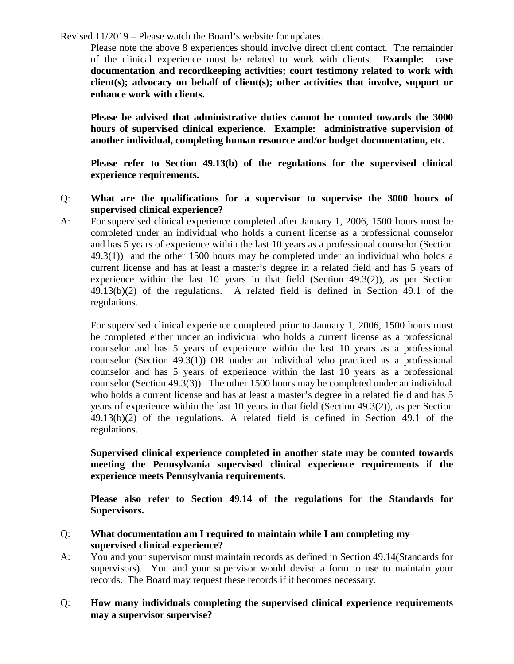Please note the above 8 experiences should involve direct client contact. The remainder of the clinical experience must be related to work with clients. **Example: case documentation and recordkeeping activities; court testimony related to work with client(s); advocacy on behalf of client(s); other activities that involve, support or enhance work with clients.**

**Please be advised that administrative duties cannot be counted towards the 3000 hours of supervised clinical experience. Example: administrative supervision of another individual, completing human resource and/or budget documentation, etc.**

**Please refer to Section 49.13(b) of the regulations for the supervised clinical experience requirements.**

- Q: **What are the qualifications for a supervisor to supervise the 3000 hours of supervised clinical experience?**
- A: For supervised clinical experience completed after January 1, 2006, 1500 hours must be completed under an individual who holds a current license as a professional counselor and has 5 years of experience within the last 10 years as a professional counselor (Section 49.3(1)) and the other 1500 hours may be completed under an individual who holds a current license and has at least a master's degree in a related field and has 5 years of experience within the last 10 years in that field (Section 49.3(2)), as per Section 49.13(b)(2) of the regulations. A related field is defined in Section 49.1 of the regulations.

For supervised clinical experience completed prior to January 1, 2006, 1500 hours must be completed either under an individual who holds a current license as a professional counselor and has 5 years of experience within the last 10 years as a professional counselor (Section 49.3(1)) OR under an individual who practiced as a professional counselor and has 5 years of experience within the last 10 years as a professional counselor (Section 49.3(3)). The other 1500 hours may be completed under an individual who holds a current license and has at least a master's degree in a related field and has 5 years of experience within the last 10 years in that field (Section 49.3(2)), as per Section 49.13(b)(2) of the regulations. A related field is defined in Section 49.1 of the regulations.

#### **Supervised clinical experience completed in another state may be counted towards meeting the Pennsylvania supervised clinical experience requirements if the experience meets Pennsylvania requirements.**

**Please also refer to Section 49.14 of the regulations for the Standards for Supervisors.**

#### Q: **What documentation am I required to maintain while I am completing my supervised clinical experience?**

A: You and your supervisor must maintain records as defined in Section 49.14(Standards for supervisors). You and your supervisor would devise a form to use to maintain your records. The Board may request these records if it becomes necessary.

### Q: **How many individuals completing the supervised clinical experience requirements may a supervisor supervise?**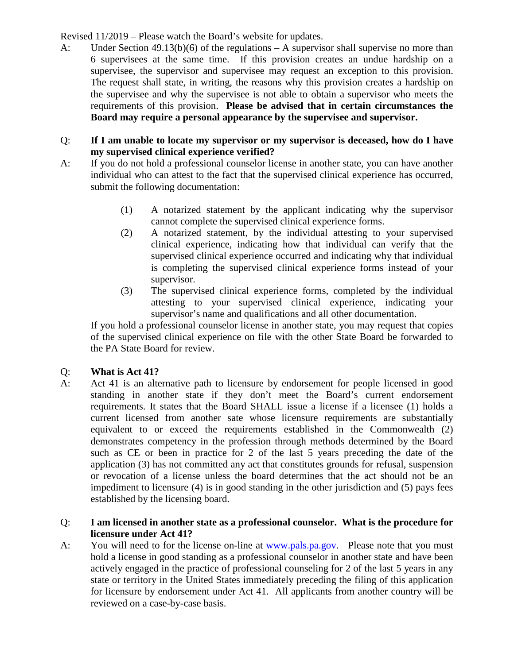A: Under Section 49.13(b)(6) of the regulations – A supervisor shall supervise no more than 6 supervisees at the same time. If this provision creates an undue hardship on a supervisee, the supervisor and supervisee may request an exception to this provision. The request shall state, in writing, the reasons why this provision creates a hardship on the supervisee and why the supervisee is not able to obtain a supervisor who meets the requirements of this provision. **Please be advised that in certain circumstances the Board may require a personal appearance by the supervisee and supervisor.**

#### Q: **If I am unable to locate my supervisor or my supervisor is deceased, how do I have my supervised clinical experience verified?**

- A: If you do not hold a professional counselor license in another state, you can have another individual who can attest to the fact that the supervised clinical experience has occurred, submit the following documentation:
	- (1) A notarized statement by the applicant indicating why the supervisor cannot complete the supervised clinical experience forms.
	- (2) A notarized statement, by the individual attesting to your supervised clinical experience, indicating how that individual can verify that the supervised clinical experience occurred and indicating why that individual is completing the supervised clinical experience forms instead of your supervisor.
	- (3) The supervised clinical experience forms, completed by the individual attesting to your supervised clinical experience, indicating your supervisor's name and qualifications and all other documentation.

If you hold a professional counselor license in another state, you may request that copies of the supervised clinical experience on file with the other State Board be forwarded to the PA State Board for review.

### Q: **What is Act 41?**

A: Act 41 is an alternative path to licensure by endorsement for people licensed in good standing in another state if they don't meet the Board's current endorsement requirements. It states that the Board SHALL issue a license if a licensee (1) holds a current licensed from another sate whose licensure requirements are substantially equivalent to or exceed the requirements established in the Commonwealth (2) demonstrates competency in the profession through methods determined by the Board such as CE or been in practice for 2 of the last 5 years preceding the date of the application (3) has not committed any act that constitutes grounds for refusal, suspension or revocation of a license unless the board determines that the act should not be an impediment to licensure (4) is in good standing in the other jurisdiction and (5) pays fees established by the licensing board.

#### Q: **I am licensed in another state as a professional counselor. What is the procedure for licensure under Act 41?**

A: You will need to for the license on-line at [www.pals.pa.gov.](http://www.pals.pa.gov/) Please note that you must hold a license in good standing as a professional counselor in another state and have been actively engaged in the practice of professional counseling for 2 of the last 5 years in any state or territory in the United States immediately preceding the filing of this application for licensure by endorsement under Act 41. All applicants from another country will be reviewed on a case-by-case basis.